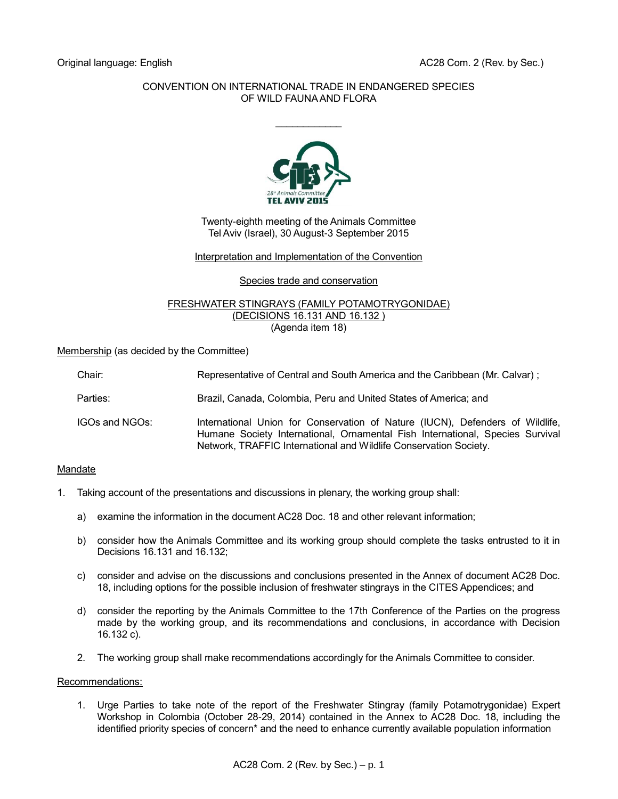# CONVENTION ON INTERNATIONAL TRADE IN ENDANGERED SPECIES OF WILD FAUNA AND FLORA

 $\frac{1}{2}$ 



Twenty-eighth meeting of the Animals Committee Tel Aviv (Israel), 30 August-3 September 2015

## Interpretation and Implementation of the Convention

Species trade and conservation

#### FRESHWATER STINGRAYS (FAMILY POTAMOTRYGONIDAE) (DECISIONS 16.131 AND 16.132 ) (Agenda item 18)

Membership (as decided by the Committee)

| Chair:         | Representative of Central and South America and the Caribbean (Mr. Calvar);                                                                                                                                                         |
|----------------|-------------------------------------------------------------------------------------------------------------------------------------------------------------------------------------------------------------------------------------|
| Parties:       | Brazil, Canada, Colombia, Peru and United States of America; and                                                                                                                                                                    |
| IGOs and NGOs: | International Union for Conservation of Nature (IUCN), Defenders of Wildlife,<br>Humane Society International, Ornamental Fish International, Species Survival<br>Network, TRAFFIC International and Wildlife Conservation Society. |

## Mandate

- 1. Taking account of the presentations and discussions in plenary, the working group shall:
	- a) examine the information in the document AC28 Doc. 18 and other relevant information;
	- b) consider how the Animals Committee and its working group should complete the tasks entrusted to it in Decisions 16.131 and 16.132;
	- c) consider and advise on the discussions and conclusions presented in the Annex of document AC28 Doc. 18, including options for the possible inclusion of freshwater stingrays in the CITES Appendices; and
	- d) consider the reporting by the Animals Committee to the 17th Conference of the Parties on the progress made by the working group, and its recommendations and conclusions, in accordance with Decision 16.132 c).
	- 2. The working group shall make recommendations accordingly for the Animals Committee to consider.

## Recommendations:

1. Urge Parties to take note of the report of the Freshwater Stingray (family Potamotrygonidae) Expert Workshop in Colombia (October 28-29, 2014) contained in the Annex to AC28 Doc. 18, including the identified priority species of concern<sup>\*</sup> and the need to enhance currently available population information